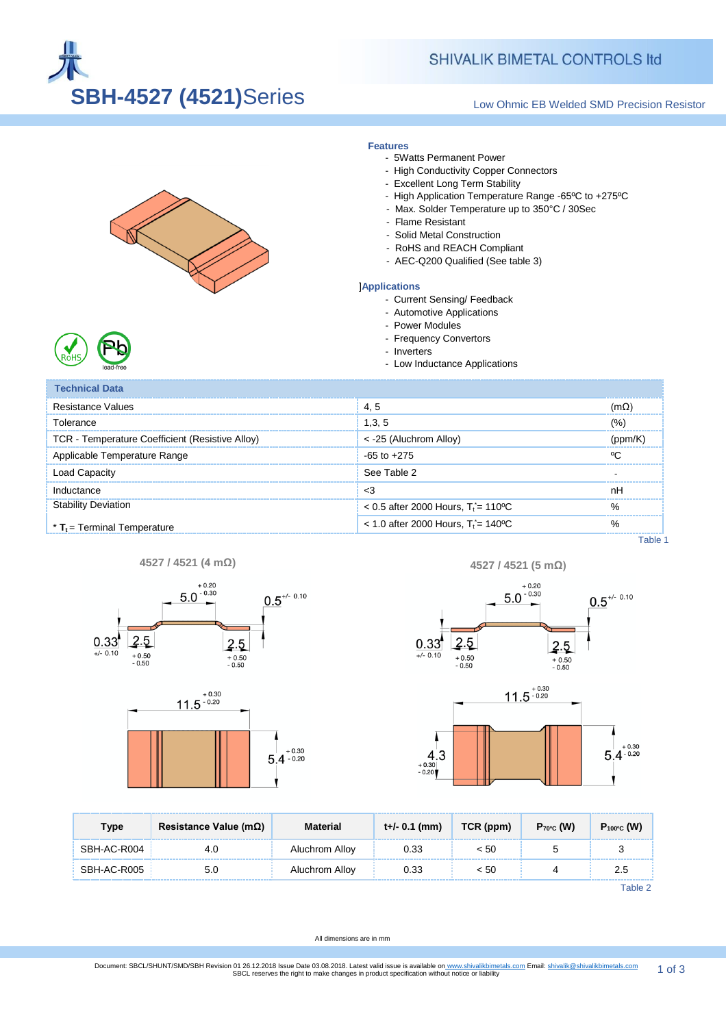

# **SHIVALIK BIMETAL CONTROLS Itd**

### Low Ohmic EB Welded SMD Precision Resistor



**Features**

- 5Watts Permanent Power
- High Conductivity Copper Connectors
- Excellent Long Term Stability
- High Application Temperature Range -65ºC to +275ºC
- Max. Solder Temperature up to 350°C / 30Sec
- Flame Resistant
- Solid Metal Construction
- RoHS and REACH Compliant
- AEC-Q200 Qualified (See table 3)

#### ]**Applications**

- Current Sensing/ Feedback
- Automotive Applications
- Power Modules
- Frequency Convertors
- Inverters
- lications

| טייט<br>lead-free                               | - Low Inductance Applications                     |             |  |
|-------------------------------------------------|---------------------------------------------------|-------------|--|
| <b>Technical Data</b>                           |                                                   |             |  |
| Resistance Values                               | 4.5                                               | $(m\Omega)$ |  |
| Tolerance                                       | 1,3,5                                             | (%`         |  |
| TCR - Temperature Coefficient (Resistive Alloy) | $<$ -25 (Aluchrom Alloy)                          | (ppm/K)     |  |
| Applicable Temperature Range                    | $-65$ to $+275$                                   | ᠙ᡗ          |  |
| Load Capacity                                   | See Table 2                                       |             |  |
| Inductance                                      | $<$ 3                                             | nH          |  |
| <b>Stability Deviation</b>                      | $< 0.5$ after 2000 Hours. T <sub>1</sub> = 110 °C | $\%$        |  |
| $*$ T <sub>t</sub> = Terminal Temperature       | $<$ 1.0 after 2000 Hours. T <sub>i</sub> = 140 °C | $\%$        |  |

Table 1









| Type        | Resistance Value (m $\Omega$ ) | Material       | t+/- 0.1 (mm) | TCR (ppm) | $P_{70^{\circ}C}$ (W) | $P_{100^{\circ}C}$ (W) |
|-------------|--------------------------------|----------------|---------------|-----------|-----------------------|------------------------|
| SBH-AC-R004 | 4.0                            | Aluchrom Alloy | 0.33          | < 50      |                       |                        |
| SBH-AC-R005 | 5.0                            | Aluchrom Alloy | 0.33          | < 50      |                       | 2.5                    |

Table 2

All dimensions are in mm

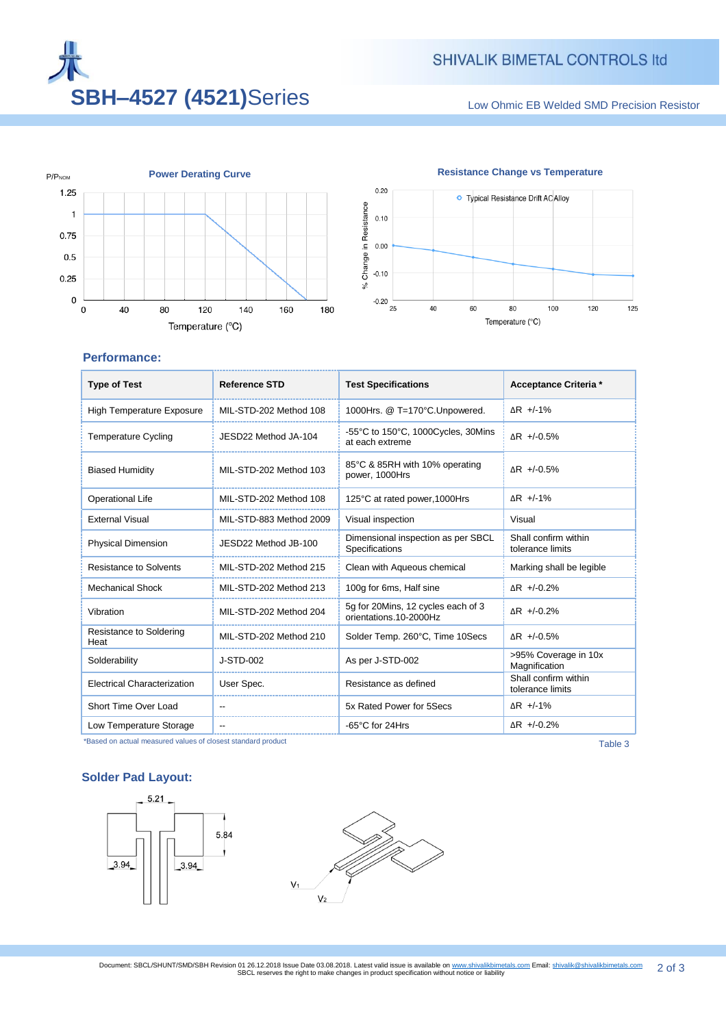

Low Ohmic EB Welded SMD Precision Resistor





# **Performance:**

| <b>Type of Test</b>                | <b>Reference STD</b>    | <b>Test Specifications</b>                                   | Acceptance Criteria *                    |
|------------------------------------|-------------------------|--------------------------------------------------------------|------------------------------------------|
| <b>High Temperature Exposure</b>   | MIL-STD-202 Method 108  | 1000Hrs. @ T=170°C.Unpowered.                                | $\Delta$ R +/-1%                         |
| <b>Temperature Cycling</b>         | JESD22 Method JA-104    | -55°C to 150°C, 1000Cycles, 30Mins<br>at each extreme        | $\Delta$ R +/-0.5%                       |
| <b>Biased Humidity</b>             | MIL-STD-202 Method 103  | 85°C & 85RH with 10% operating<br>power, 1000Hrs             | $\Delta$ R +/-0.5%                       |
| <b>Operational Life</b>            | MIL-STD-202 Method 108  | 125°C at rated power, 1000Hrs                                | $\Delta$ R +/-1%                         |
| <b>External Visual</b>             | MIL-STD-883 Method 2009 | Visual inspection                                            | Visual                                   |
| <b>Physical Dimension</b>          | JESD22 Method JB-100    | Dimensional inspection as per SBCL<br>Specifications         | Shall confirm within<br>tolerance limits |
| Resistance to Solvents             | MIL-STD-202 Method 215  | Clean with Aqueous chemical                                  | Marking shall be legible                 |
| <b>Mechanical Shock</b>            | MIL-STD-202 Method 213  | 100g for 6ms, Half sine                                      | $\Delta$ R +/-0.2%                       |
| Vibration                          | MIL-STD-202 Method 204  | 5q for 20Mins, 12 cycles each of 3<br>orientations.10-2000Hz | $\Delta$ R +/-0.2%                       |
| Resistance to Soldering<br>Heat    | MIL-STD-202 Method 210  | Solder Temp. 260°C, Time 10Secs                              | $\Delta$ R +/-0.5%                       |
| Solderability                      | J-STD-002               | As per J-STD-002                                             | >95% Coverage in 10x<br>Magnification    |
| <b>Electrical Characterization</b> | User Spec.              | Resistance as defined                                        | Shall confirm within<br>tolerance limits |
| Short Time Over Load               |                         | 5x Rated Power for 5Secs                                     | ∆R +/-1%                                 |
| Low Temperature Storage            |                         | -65°C for 24Hrs                                              | $\Delta$ R +/-0.2%                       |

\*Based on actual measured values of closest standard product Table 3

# **Solder Pad Layout:**

3.94